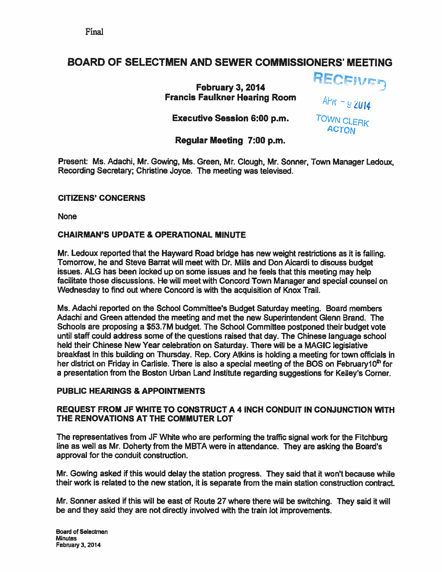## BOARD OF SELECTMEN AND SEWER COMMISSIONERS' MEETING

February 3, 2014 **Francis Faulkner Hearing Room** 

 $A\nu$ <sub>K</sub> -  $9$   $2014$ 

Executive Session 6:00 p.m. TOWN CLERK

**ACTON** 

RECEIVED

## Regular Meeting 7:00 p.m.

Present: Ms. Adachi, Mr. Gowing, Ms. Green, Mr. Clough, Mr. Sonner, Town Manager Ledoux, Recording Secretary; Christine Joyce. The meeting was televised.

#### CITIZENS' CONCERNS

None

#### CHAIRMAN'S UPDATE & OPERATIONAL MINUTE

Mr. Ledoux reported that the Hayward Road bridge has new weight restrictions as it is failing. Tomorrow, he and Steve Barrat will meet with Dr. Mills and Don Aicardi to discuss budget issues. ALG has been locked up on some issues and he feels that this meeting may help facilitate those discussions. He will meet with Concord Town Manager and special counsel on Wednesday to find out where Concord is with the acquisition of Knox Trail.

Ms. Adachi reported on the School Committee's Budget Saturday meeting. Board members Adachi and Green attended the meeting and met the new Superintendent Glenn Brand. The Schools are proposing <sup>a</sup> \$53.7M budget. The School Committee postponed their budget vote until staff could address some of the questions raised that day. The Chinese language school held their Chinese New Year celebration on Saturday. There will be <sup>a</sup> MAGIC legislative breakfast in this building on Thursday. Rep. Cory Atkins is holding <sup>a</sup> meeting for town officials in her district on Friday in Carlisle. There is also a special meeting of the BOS on February 10<sup>th</sup> for <sup>a</sup> presentation from the Boston Urban Land Institute regarding suggestions for Kelley's Corner.

#### PUBLIC HEARINGS & APPOINTMENTS

#### REQUEST FROM JF WHITE TO CONSTRUCT A 4 INCH CONDUIT IN CONJUNCTION WITH THE RENOVATIONS AT THE COMMUTER LOT

The representatives from JF White who are performing the traffic signal work for the Fitchburg line as well as Mr. Doherty from the MBTA were in attendance. They are asking the Board's approval for the conduit construction.

Mr. Gowing asked if this would delay the station progress. They said that it won't because while their work is related to the new station, it is separate from the main station construction contract.

Mr. Sonner asked if this will be east of Route <sup>27</sup> where there will be switching. They said it will be and they said they are not directly involved with the train lot improvements.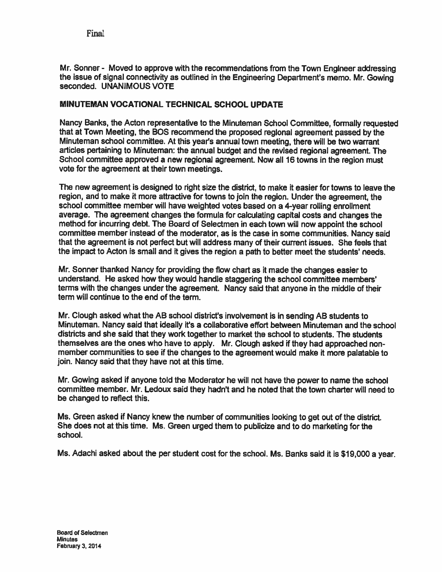Final

Mr. Sonner - Moved to approve with the recommendations from the Town Engineer addressing the issue of signal connectivity as outlined in the Engineering Department's memo. Mr. Gowing seconded. UNANIMOUS VOTE

#### MINUTEMAN VOCATIONAL TECHNICAL SCHOOL UPDATE

Nancy Banks, the Acton representative to the Minuteman School Committee, formally requested that at Town Meeting, the BOS recommend the propose<sup>d</sup> regional agreemen<sup>t</sup> passe<sup>d</sup> by the Minuteman school committee. At this year's annual town meeting, there will be two warrant articles pertaining to Minuteman: the annual budget and the revised regional agreement. The School committee approved <sup>a</sup> new regional agreement. Now all 16 towns in the region must vote for the agreemen<sup>t</sup> at their town meetings.

The new agreemen<sup>t</sup> is designed to right size the district, to make it easier for towns to leave the region, and to make it more attractive for towns to join the region. Under the agreement, the school committee member will have weighted votes based on <sup>a</sup> 4-year rolling enrollment average. The agreemen<sup>t</sup> changes the formula for calculating capital costs and changes the method for incurring debt. The Board of Selectmen in each town will now appoint the school committee member instead of the moderator, as is the case in some communities. Nancy said that the agreemen<sup>t</sup> is not perfect but will address many of their current issues. She feels that the impact to Acton is small and ft gives the region <sup>a</sup> path to better meet the students' needs.

Mr. Sonner thanked Nancy for providing the flow chart as it made the changes easier to understand. He asked how they would handle staggering the school committee members' terms with the changes under the agreement. Nancy said that anyone in the middle of their term will continue to the end of the term.

Mr. Clough asked what the AB school district's involvement is in sending AB students to Minuteman. Nancy said that ideally it's <sup>a</sup> collaborative effort between Minuteman and the school districts and she said that they work together to market the school to students. The students themselves are the ones who have to apply. Mr. Clough asked if they had approached nonmember communities to see if the changes to the agreemen<sup>t</sup> would make it more palatable to join. Nancy said that they have not at this time.

Mr. Gowing asked if anyone told the Moderator he will not have the power to name the school committee member. Mr. Ledoux said they hadn't and he noted that the town charter will need to be changed to reflect this.

Ms. Green asked if Nancy knew the number of communities looking to ge<sup>t</sup> out of the district. She does not at this time. Ms. Green urged them to publicize and to do marketing for the school.

Ms. Adachi asked about the per student cost for the school. Ms. Banks said it is \$19,000 <sup>a</sup> year.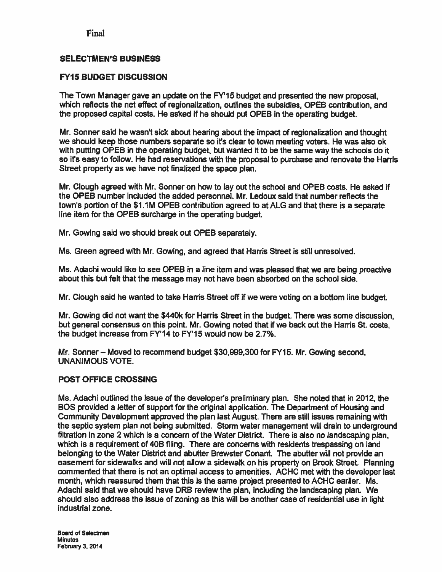Final

#### SELECTMEN'S BUSINESS

#### FY15 BUDGET DISCUSSION

The Town Manager gave an update on the FY'15 budget and presented the new proposal, which reflects the net effect of regionalization, outlines the subsidies, OPEB contribution, and the proposed capital costs. He asked if he should pu<sup>t</sup> OPEB in the operating budget.

Mr. Sonner said he wasn't sick about hearing about the impact of regionalization and thought we should keep those numbers separate so it's clear to town meeting voters. He was also ok with putting OPEB in the operating budget, but wanted it to be the same way the schools do it so it's easy to follow. He had reservations with the proposal to purchase and renovate the Harris Street property as we have not finalized the space plan.

Mr. Clough agreed with Mr. Sonner on how to lay out the school and OPEB costs. He asked if the OPEB number included the added personnel. Mr. Ledoux said that number reflects the town's portion of the \$1.1M OPEB contribution agreed to at ALG and that there is a separate line item for the OPEB surcharge in the operating budget.

Mr. Gowing said we should break out OPEB separately.

Ms. Green agreed with Mr. Gowing, and agreed that Harris Street is still unresolved.

Ms. Adachi would like to see OPEB in <sup>a</sup> line item and was pleased that we are being proactive about this but felt that the message may not have been absorbed on the school side.

Mr. Clough said he wanted to take Harris Street off if we were voting on <sup>a</sup> bottom line budget.

Mr. Gowing did not want the \$440k for Harris Street in the budget. There was some discussion, but general consensus on this point. Mr. Gowing noted that if we back out the Harris St. costs, the budget increase from FY'14 to FY'15 would now be 2.7%.

Mr. Sonner — Moved to recommend budget \$30,999,300 for FY15. Mr. Gowing second, UNANIMOUS VOTE.

#### POST OFFICE CROSSING

Ms. Adachi outlined the issue of the developers preliminary plan. She noted that in 2012, the BOS provided <sup>a</sup> letter of suppor<sup>t</sup> for the original application. The Department of Housing and Community Development approved the plan last August. There are still issues remaining with the septic system plan not being submitted. Storm water managemen<sup>t</sup> will drain to underground filtration in zone 2 which is <sup>a</sup> concern of the Water District. There is also no landscaping plan, which is <sup>a</sup> requirement of 40B filing. There are concerns with residents trespassing on land belonging to the Water District and abutter Brewster Conant. The abutter will not provide an easement for sidewalks and will not allow <sup>a</sup> sidewalk on his property on Brook Street. Planning commented that there is not an optimal access to amenities. ACHC met with the developer last month, which reassured them that this is the same project presented to ACHC earlier. Ms. Adachi said that we should have DRB review the plan, including the landscaping plan. We should also address the issue of zoning as this will be another case of residential use in light industrial zone.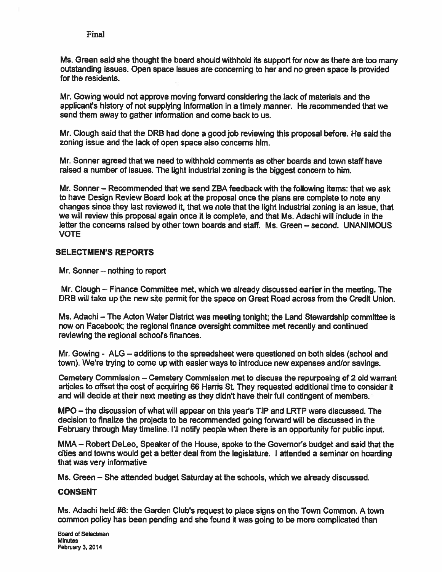Ms. Green said she thought the board should withhold its suppor<sup>t</sup> for now as there are too many outstanding issues. Open space Issues are concerning to her and no green space is provided for the residents.

Mr. Gowing would not approve moving forward considering the lack of materials and the applicant's history of not supplying information in <sup>a</sup> timely manner. He recommended that we send them away to gather information and come back to us.

Mr. Clough said that the DRB had done <sup>a</sup> good job reviewing this proposal before. He said the zoning issue and the lack of open space also concerns him.

Mr. Sonner agreed that we need to withhold comments as other boards and town staff have raised <sup>a</sup> number of issues. The light industrial zoning is the biggest concern to him.

Mr. Sonner — Recommended that we send ZBA feedback with the following items: that we ask to have Design Review Board look at the proposal once the <sup>p</sup>lans are complete to note any changes since they last reviewed it, that we note that the light industrial zoning is an issue, that we will review this proposal again once it is complete, and that Ms. Adachi will include in the letter the concerns raised by other town boards and staff. Ms. Green — second. UNANIMOUS VOTE

#### SELECTMEN'S REPORTS

Mr. Sonner — nothing to repor<sup>t</sup>

Mr. Clough — Finance Committee met, which we already discussed earlier in the meeting. The DRB will take up the new site permit for the space on Great Road across from the Credit Union.

Ms. Adachi — The Acton Water District was meeting tonight; the Land Stewardship committee is now on Facebook; the regional finance oversight committee met recently and continued reviewing the regional school's finances.

Mr. Gowing - ALG — additions to the spreadsheet were questioned on both sides (school and town). We're trying to come up with easier ways to introduce new expenses andlor savings.

Cemetery Commission — Cemetery Commission met to discuss the repurposing of 2 old warrant articles to offset the cost of acquiring 66 Harris St. They requested additional time to consider it and will decide at their next meeting as they didn't have their full contingent of members.

MPO – the discussion of what will appear on this year's TIP and LRTP were discussed. The decision to finalize the projects to be recommended going forward will be discussed in the February through May timeline. I'll notify people when there is an opportunity for public input.

MMA – Robert DeLeo, Speaker of the House, spoke to the Governor's budget and said that the cities and towns would ge<sup>t</sup> <sup>a</sup> better deal from the legislature. I attended <sup>a</sup> seminar on hoarding that was very informative

Ms. Green — She attended budget Saturday at the schools, which we already discussed.

#### CONSENT

Ms. Adachi held #6: the Garden Club's reques<sup>t</sup> to place signs on the Town Common. A town common policy has been pending and she found it was going to be more complicated than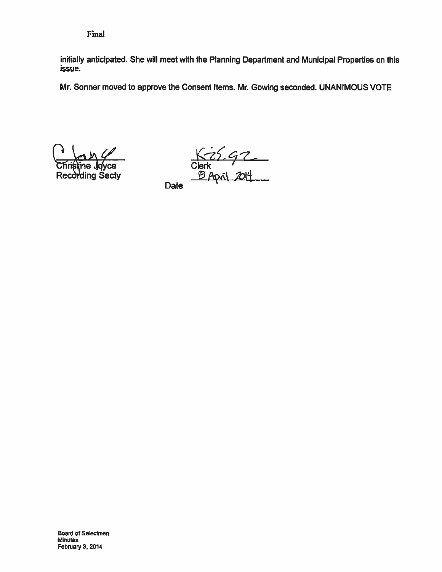Final

initially anticipated. She will meet with the Planning Department and Municipal Properties on this issue.

Mr. Sonner moved to approve the Consent Items. Mr. Gowing seconded. UNANIMOUS VOTE

Recd

**ding Sectv** 

K25.92

**Date**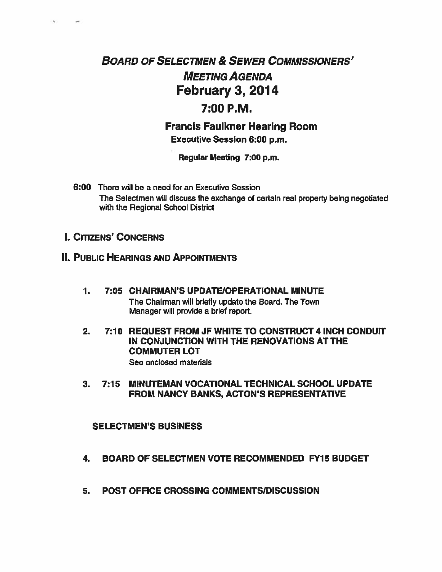# BOARD OF SELECTMEN & SEWER COMMISSIONERS' MEETING AGENDA February 3, 2014 7:00 P.M.

Francis Faulkner Hearing Room Executive Session 6:00 p.m.

Regular Meeting 7:00 p.m.

6:00 There will be <sup>a</sup> need for an Executive Session The Selectmen will discuss the exchange of certain real property being negotiated with the Regional School District

## I. CITIZENS' CONCERNS

×.

 $\sim$ 

## **II. PUBLIC HEARINGS AND APPOINTMENTS**

- 1. 7:05 CHAIRMAN'S UPDATE/OPERATIONAL MINUTE The Chairman will briefly update the Board. The Town Manager will provide <sup>a</sup> brief report.
- 2. 7:10 REQUEST FROM JF WHITE TO CONSTRUCT 4 INCH CONDUIT IN CONJUNCTION WITH THE RENOVATIONS AT THE COMMUTER LOT See enclosed materials

#### 3. 7:15 MINUTEMAN VOCATIONAL TECHNICAL SCHOOL UPDATE FROM NANCY BANKS, ACTON'S REPRESENTATIVE

#### SELECTMEN'S BUSINESS

- 4. BOARD OF SELECTMEN VOTE RECOMMENDED FY15 BUDGET
- 5. POST OFFICE CROSSING COMMENTS/DISCUSSION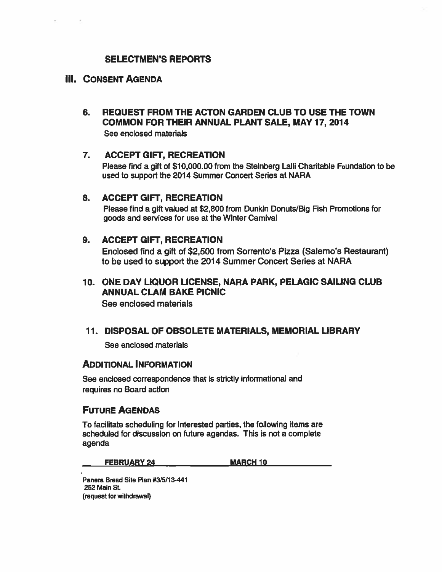#### SELECTMEN'S REPORTS

#### III. CONSENT AGENDA

6. REQUEST FROM THE ACTON GARDEN CLUB TO USE THE TOWN COMMON FOR THEIR ANNUAL PLANT SALE, MAY17, 2014 See enclosed materials

#### 7. ACCEPT GIFT, RECREATION

Please find <sup>a</sup> gift of \$10,000.00 from the Steinberg Lalli Charitable Foundation to be used to suppor<sup>t</sup> the 2014 Summer Concert Series at NARA

#### 8. ACCEPT GIFT, RECREATION

Please find <sup>a</sup> gift valued at \$2,800 from Dunkin Donuts/Big Fish Promotions for goods and services for use at the Winter Camival

#### 9. ACCEPT GIFT, RECREATION

Enclosed find <sup>a</sup> gift of \$2,500 from Sorrento's Pizza (Salerno's Restaurant) to be used to suppor<sup>t</sup> the 2014 Summer Concert Series at NARA

## 10. ONE DAY LIQUOR LICENSE, NARA PARK, PELAGIC SAILING CLUB ANNUAL CLAM BAKE PICNIC

See enclosed materials

#### 11. DISPOSAL OF OBSOLETE MATERIALS, MEMORIAL LIBRARY

See enclosed materials

#### ADDITIONAL INFORMATION

See enclosed correspondence that is strictly informational and requires no Board action

#### FUTURE AGENDAS

To facilitate scheduling for interested parties, the following items are scheduled for discussion on future agendas. This is not <sup>a</sup> complete agenda

FEBRUARY 24 MARCH 10

Panera Bread Site Plan #3/5/13-441 252 Main St. (request for withdrawal)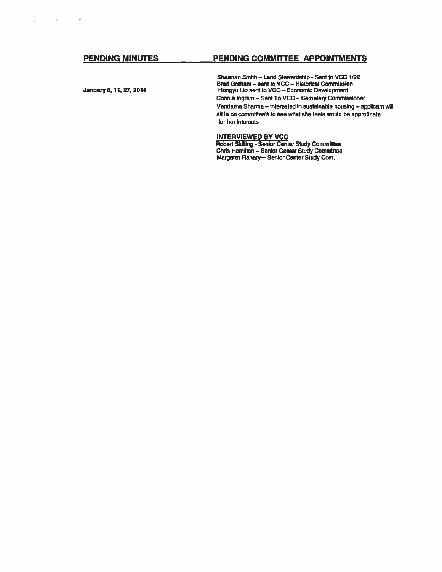#### PENDING MINUTES PENDING COMMITTEE APPOINTMENTS

 $\bullet$ 

 $\sim$ 

ú.

Sherman Smith — Land Stewardship - Sent to VCC 1/22 Brad Graham — sent to VCC — Historical Commission January 6, 11, 27, 2014 **Hongyu Lio sent to VCC** – Economic Development Connie Ingram — Sent To VCC — Cemetery Commissioner Vandama Shanna — Interested in sustainable housing — applicant will sit in on committee's to see what she feels would be appropriate for her interests

#### INTERVIEWED BY VCC

Robert Skiiling - Senior Center Study Committee Chris Hamilton — Senior Center Study Committee Margaret Fianary— Senior Center Study Corn.